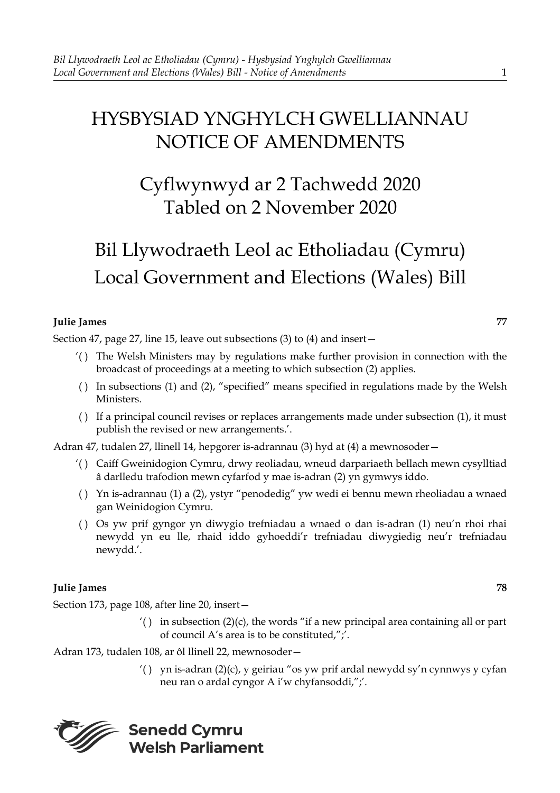## HYSBYSIAD YNGHYLCH GWELLIANNAU NOTICE OF AMENDMENTS

## Cyflwynwyd ar 2 Tachwedd 2020 Tabled on 2 November 2020

# Bil Llywodraeth Leol ac Etholiadau (Cymru) Local Government and Elections (Wales) Bill

### **Julie James 77**

Section 47, page 27, line 15, leave out subsections (3) to (4) and insert—

- '( ) The Welsh Ministers may by regulations make further provision in connection with the broadcast of proceedings at a meeting to which subsection (2) applies.
- ( ) In subsections (1) and (2), "specified" means specified in regulations made by the Welsh Ministers.
- ( ) If a principal council revises or replaces arrangements made under subsection (1), it must publish the revised or new arrangements.'.

Adran 47, tudalen 27, llinell 14, hepgorer is-adrannau (3) hyd at (4) a mewnosoder—

- '( ) Caiff Gweinidogion Cymru, drwy reoliadau, wneud darpariaeth bellach mewn cysylltiad â darlledu trafodion mewn cyfarfod y mae is-adran (2) yn gymwys iddo.
- ( ) Yn is-adrannau (1) a (2), ystyr "penodedig" yw wedi ei bennu mewn rheoliadau a wnaed gan Weinidogion Cymru.
- ( ) Os yw prif gyngor yn diwygio trefniadau a wnaed o dan is-adran (1) neu'n rhoi rhai newydd yn eu lle, rhaid iddo gyhoeddi'r trefniadau diwygiedig neu'r trefniadau newydd.'.

#### **Julie James 78**

Section 173, page 108, after line 20, insert—

 $'()$  in subsection  $(2)(c)$ , the words "if a new principal area containing all or part of council A's area is to be constituted,";'.

Adran 173, tudalen 108, ar ôl llinell 22, mewnosoder—

'( ) yn is-adran (2)(c), y geiriau "os yw prif ardal newydd sy'n cynnwys y cyfan neu ran o ardal cyngor A i'w chyfansoddi,";'.